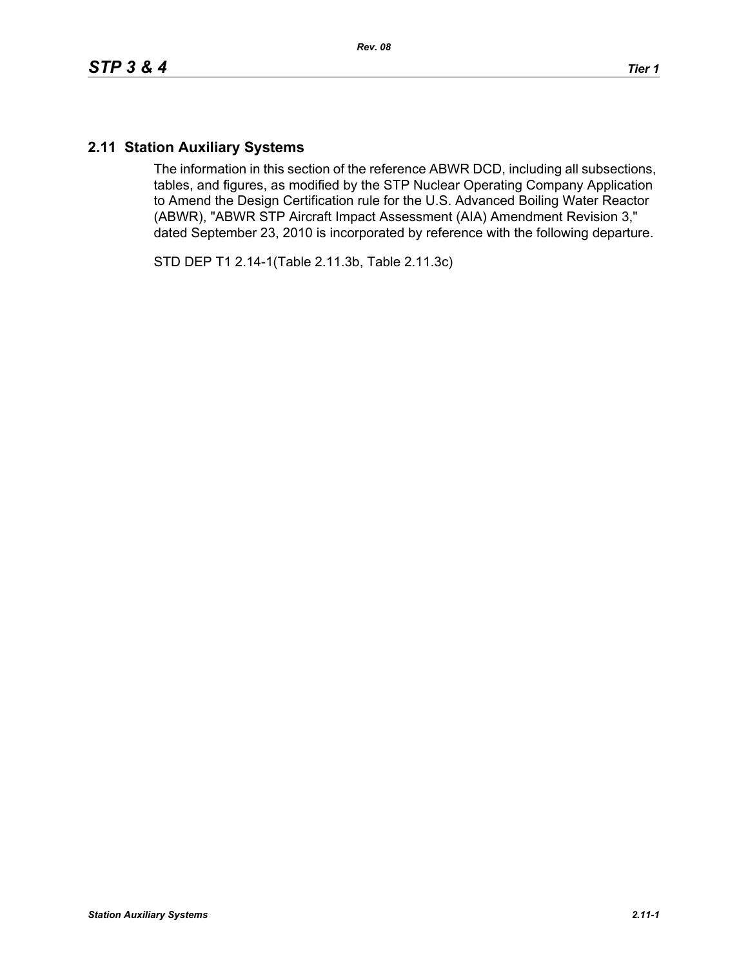## **2.11 Station Auxiliary Systems**

The information in this section of the reference ABWR DCD, including all subsections, tables, and figures, as modified by the STP Nuclear Operating Company Application to Amend the Design Certification rule for the U.S. Advanced Boiling Water Reactor (ABWR), "ABWR STP Aircraft Impact Assessment (AIA) Amendment Revision 3," dated September 23, 2010 is incorporated by reference with the following departure.

STD DEP T1 2.14-1(Table 2.11.3b, Table 2.11.3c)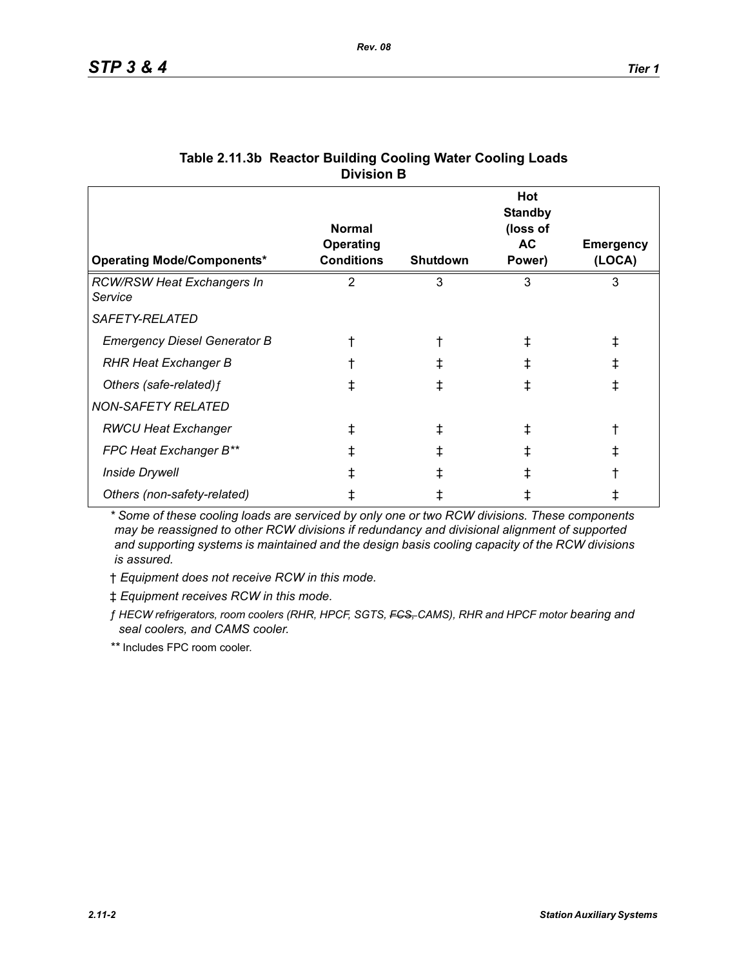| <b>Operating Mode/Components*</b>            | <b>Normal</b><br><b>Operating</b><br><b>Conditions</b> | <b>Shutdown</b> | Hot<br><b>Standby</b><br>(loss of<br>AC.<br>Power) | <b>Emergency</b><br>(LOCA) |
|----------------------------------------------|--------------------------------------------------------|-----------------|----------------------------------------------------|----------------------------|
| <b>RCW/RSW Heat Exchangers In</b><br>Service | 2                                                      | 3               | 3                                                  | 3                          |
| <i>SAFETY-RELATED</i>                        |                                                        |                 |                                                    |                            |
| <b>Emergency Diesel Generator B</b>          |                                                        |                 | Ŧ                                                  | ⇟                          |
| <b>RHR Heat Exchanger B</b>                  |                                                        |                 | ∓                                                  | $^\ddag$                   |
| Others (safe-related) f                      | ŧ                                                      |                 |                                                    | ŧ                          |
| <b>NON-SAFETY RELATED</b>                    |                                                        |                 |                                                    |                            |
| <b>RWCU Heat Exchanger</b>                   | $^\ddag$                                               |                 |                                                    |                            |
| FPC Heat Exchanger B**                       | ⇟                                                      |                 |                                                    |                            |
| <b>Inside Drywell</b>                        |                                                        |                 |                                                    |                            |
| Others (non-safety-related)                  |                                                        |                 |                                                    |                            |

## **Table 2.11.3b Reactor Building Cooling Water Cooling Loads Division B**

*\* Some of these cooling loads are serviced by only one or two RCW divisions. These components may be reassigned to other RCW divisions if redundancy and divisional alignment of supported and supporting systems is maintained and the design basis cooling capacity of the RCW divisions is assured.*

† *Equipment does not receive RCW in this mode.*

‡ *Equipment receives RCW in this mode.*

*ƒ HECW refrigerators, room coolers (RHR, HPCF, SGTS, FCS, CAMS), RHR and HPCF motor bearing and seal coolers, and CAMS cooler.*

*\*\** Includes FPC room cooler.